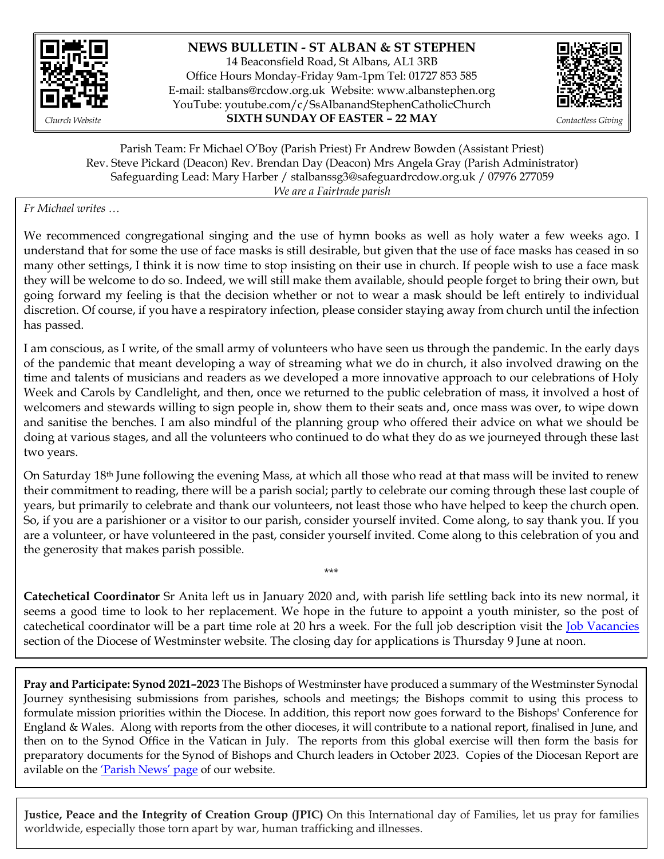

## **NEWS BULLETIN - ST ALBAN & ST STEPHEN**

14 Beaconsfield Road, St Albans, AL1 3RB Office Hours Monday-Friday 9am-1pm Tel: 01727 853 585 E-mail: [stalbans@rcdow.org.uk](mailto:stalbans@rcdow.org.uk) Website: www.albanstephen.org YouTube: youtube.com/c/SsAlbanandStephenCatholicChurch *Church Website* **SIXTH SUNDAY OF EASTER – 22 MAY** *Contactless Giving*



Parish Team: Fr Michael O'Boy (Parish Priest) Fr Andrew Bowden (Assistant Priest) Rev. Steve Pickard (Deacon) Rev. Brendan Day (Deacon) Mrs Angela Gray (Parish Administrator) Safeguarding Lead: Mary Harber / stalbanssg3@safeguardrcdow.org.uk / 07976 277059 *We are a Fairtrade parish*

#### *Fr Michael writes …*

We recommenced congregational singing and the use of hymn books as well as holy water a few weeks ago. I understand that for some the use of face masks is still desirable, but given that the use of face masks has ceased in so many other settings, I think it is now time to stop insisting on their use in church. If people wish to use a face mask they will be welcome to do so. Indeed, we will still make them available, should people forget to bring their own, but going forward my feeling is that the decision whether or not to wear a mask should be left entirely to individual discretion. Of course, if you have a respiratory infection, please consider staying away from church until the infection has passed.

I am conscious, as I write, of the small army of volunteers who have seen us through the pandemic. In the early days of the pandemic that meant developing a way of streaming what we do in church, it also involved drawing on the time and talents of musicians and readers as we developed a more innovative approach to our celebrations of Holy Week and Carols by Candlelight, and then, once we returned to the public celebration of mass, it involved a host of welcomers and stewards willing to sign people in, show them to their seats and, once mass was over, to wipe down and sanitise the benches. I am also mindful of the planning group who offered their advice on what we should be doing at various stages, and all the volunteers who continued to do what they do as we journeyed through these last two years.

On Saturday 18th June following the evening Mass, at which all those who read at that mass will be invited to renew their commitment to reading, there will be a parish social; partly to celebrate our coming through these last couple of years, but primarily to celebrate and thank our volunteers, not least those who have helped to keep the church open. So, if you are a parishioner or a visitor to our parish, consider yourself invited. Come along, to say thank you. If you are a volunteer, or have volunteered in the past, consider yourself invited. Come along to this celebration of you and the generosity that makes parish possible.

**Catechetical Coordinator** Sr Anita left us in January 2020 and, with parish life settling back into its new normal, it seems a good time to look to her replacement. We hope in the future to appoint a youth minister, so the post of catechetical coordinator will be a part time role at 20 hrs a week. For the full job description visit the [Job Vacancies](https://jobs.rcdow.org.uk/parish-catechetical-coordinator-st-alban-st-stephen-st-albans/) section of the Diocese of Westminster website. The closing day for applications is Thursday 9 June at noon.

\*\*\*

**Pray and Participate: Synod 2021–2023** The Bishops of Westminster have produced a summary of the Westminster Synodal Journey synthesising submissions from parishes, schools and meetings; the Bishops commit to using this process to formulate mission priorities within the Diocese. In addition, this report now goes forward to the Bishops' Conference for England & Wales. Along with reports from the other dioceses, it will contribute to a national report, finalised in June, and then on to the Synod Office in the Vatican in July. The reports from this global exercise will then form the basis for preparatory documents for the Synod of Bishops and Church leaders in October 2023. Copies of the Diocesan Report are avilable on the <u>['Parish News' page](https://www.albanstephen.org/parish-news/)</u> of our website.

**Justice, Peace and the Integrity of Creation Group (JPIC)** On this International day of Families, let us pray for families worldwide, especially those torn apart by war, human trafficking and illnesses.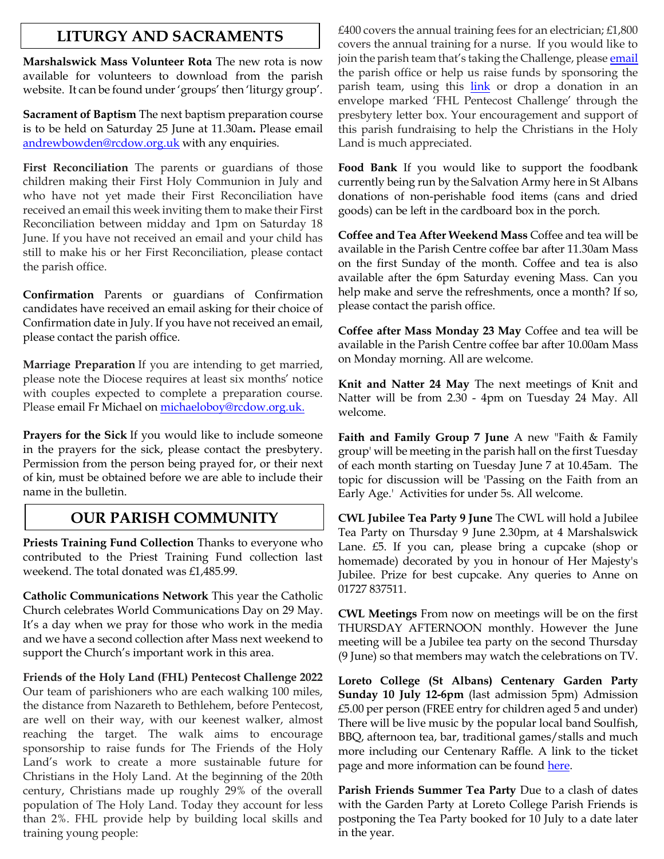## **LITURGY AND SACRAMENTS**

**Marshalswick Mass Volunteer Rota** The new rota is now available for volunteers to download from the parish website. It can be found under 'groups' then 'liturgy group'.

**Sacrament of Baptism** The next baptism preparation course is to be held on Saturday 25 June at 11.30am**.** Please email [andrewbowden@rcdow.org.uk](mailto:andrewbowden@rcdow.org.uk) with any enquiries.

**First Reconciliation** The parents or guardians of those children making their First Holy Communion in July and who have not yet made their First Reconciliation have received an email this week inviting them to make their First Reconciliation between midday and 1pm on Saturday 18 June. If you have not received an email and your child has still to make his or her First Reconciliation, please contact the parish office.

**Confirmation** Parents or guardians of Confirmation candidates have received an email asking for their choice of Confirmation date in July. If you have not received an email, please contact the parish office.

**Marriage Preparation** If you are intending to get married, please note the Diocese requires at least six months' notice with couples expected to complete a preparation course. Please email Fr Michael on [michaeloboy@rcdow.org.uk.](mailto:michaeloboy@rcdow.org.uk)

**Prayers for the Sick** If you would like to include someone in the prayers for the sick, please contact the presbytery. Permission from the person being prayed for, or their next of kin, must be obtained before we are able to include their name in the bulletin.

# **OUR PARISH COMMUNITY**

**Priests Training Fund Collection** Thanks to everyone who contributed to the Priest Training Fund collection last weekend. The total donated was £1,485.99.

**Catholic Communications Network** This year the Catholic Church celebrates World Communications Day on 29 May. It's a day when we pray for those who work in the media and we have a second collection after Mass next weekend to support the Church's important work in this area.

**Friends of the Holy Land (FHL) Pentecost Challenge 2022** Our team of parishioners who are each walking 100 miles, the distance from Nazareth to Bethlehem, before Pentecost, are well on their way, with our keenest walker, almost reaching the target. The walk aims to encourage sponsorship to raise funds for The Friends of the Holy Land's work to create a more sustainable future for Christians in the Holy Land. At the beginning of the 20th century, Christians made up roughly 29% of the overall population of The Holy Land. Today they account for less than 2%. FHL provide help by building local skills and training young people:

£400 covers the annual training fees for an electrician; £1,800 covers the annual training for a nurse. If you would like to join the parish team that's taking the Challenge, please [email](mailto:stalbans@rcdow.org.uk) the parish office or help us raise funds by sponsoring the parish team, using this [link](https://fhl.enthuse.com/pf/st-alban-st-stephen-church-st-albans) or drop a donation in an envelope marked 'FHL Pentecost Challenge' through the presbytery letter box. Your encouragement and support of this parish fundraising to help the Christians in the Holy Land is much appreciated.

**Food Bank** If you would like to support the foodbank currently being run by the Salvation Army here in St Albans donations of non-perishable food items (cans and dried goods) can be left in the cardboard box in the porch.

**Coffee and Tea After Weekend Mass** Coffee and tea will be available in the Parish Centre coffee bar after 11.30am Mass on the first Sunday of the month. Coffee and tea is also available after the 6pm Saturday evening Mass. Can you help make and serve the refreshments, once a month? If so, please contact the parish office.

**Coffee after Mass Monday 23 May** Coffee and tea will be available in the Parish Centre coffee bar after 10.00am Mass on Monday morning. All are welcome.

**Knit and Natter 24 May** The next meetings of Knit and Natter will be from 2.30 - 4pm on Tuesday 24 May. All welcome.

**Faith and Family Group 7 June** A new "Faith & Family group' will be meeting in the parish hall on the first Tuesday of each month starting on Tuesday June 7 at 10.45am. The topic for discussion will be 'Passing on the Faith from an Early Age.' Activities for under 5s. All welcome.

**CWL Jubilee Tea Party 9 June** The CWL will hold a Jubilee Tea Party on Thursday 9 June 2.30pm, at 4 Marshalswick Lane. £5. If you can, please bring a cupcake (shop or homemade) decorated by you in honour of Her Majesty's Jubilee. Prize for best cupcake. Any queries to Anne on 01727 837511.

**CWL Meetings** From now on meetings will be on the first THURSDAY AFTERNOON monthly. However the June meeting will be a Jubilee tea party on the second Thursday (9 June) so that members may watch the celebrations on TV.

**Loreto College (St Albans) Centenary Garden Party Sunday 10 July 12-6pm** (last admission 5pm) Admission £5.00 per person (FREE entry for children aged 5 and under) There will be live music by the popular local band Soulfish, BBQ, afternoon tea, bar, traditional games/stalls and much more including our Centenary Raffle. A link to the ticket page and more information can be found [here.](http://www.loreto.herts.sch.uk./)

**Parish Friends Summer Tea Party** Due to a clash of dates with the Garden Party at Loreto College Parish Friends is postponing the Tea Party booked for 10 July to a date later in the year.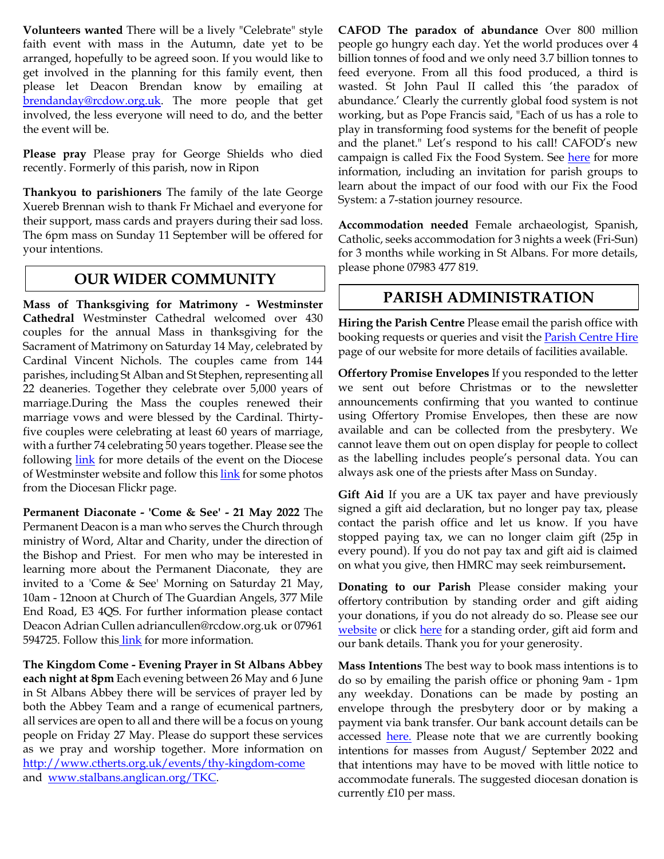**Volunteers wanted** There will be a lively "Celebrate" style faith event with mass in the Autumn, date yet to be arranged, hopefully to be agreed soon. If you would like to get involved in the planning for this family event, then please let Deacon Brendan know by emailing at [brendanday@rcdow.org.uk.](mailto:brendanday@rcdow.org.uk) The more people that get involved, the less everyone will need to do, and the better the event will be.

**Please pray** Please pray for George Shields who died recently. Formerly of this parish, now in Ripon

**Thankyou to parishioners** The family of the late George Xuereb Brennan wish to thank Fr Michael and everyone for their support, mass cards and prayers during their sad loss. The 6pm mass on Sunday 11 September will be offered for your intentions.

## **OUR WIDER COMMUNITY**

**Mass of Thanksgiving for Matrimony - Westminster Cathedral** Westminster Cathedral welcomed over 430 couples for the annual Mass in thanksgiving for the Sacrament of Matrimony on Saturday 14 May, celebrated by Cardinal Vincent Nichols. The couples came from 144 parishes, including St Alban and St Stephen, representing all 22 deaneries. Together they celebrate over 5,000 years of marriage.During the Mass the couples renewed their marriage vows and were blessed by the Cardinal. Thirtyfive couples were celebrating at least 60 years of marriage, with a further 74 celebrating 50 years together. Please see the following [link](https://rcdow.org.uk/news/over-430-couples-witness-to-demanding-vocation-of-married-love/) for more details of the event on the Diocese of Westminster website and follow thi[s link](https://www.flickr.com/photos/catholicwestminster/albums/72177720298942243/with/52073183674/) for some photos from the Diocesan Flickr page.

**Permanent Diaconate - 'Come & See' - 21 May 2022** The Permanent Deacon is a man who serves the Church through ministry of Word, Altar and Charity, under the direction of the Bishop and Priest. For men who may be interested in learning more about the Permanent Diaconate, they are invited to a 'Come & See' Morning on Saturday 21 May, 10am - 12noon at Church of The Guardian Angels, 377 Mile End Road, E3 4QS. For further information please contact Deacon Adrian Cullen adriancullen@rcdow.org.uk or 07961 594725. Follow this [link](https://rcdow.org.uk/vocations/permanent-diaconate/) for more information.

**The Kingdom Come - Evening Prayer in St Albans Abbey each night at 8pm** Each evening between 26 May and 6 June in St Albans Abbey there will be services of prayer led by both the Abbey Team and a range of ecumenical partners, all services are open to all and there will be a focus on young people on Friday 27 May. Please do support these services as we pray and worship together. More information on <http://www.ctherts.org.uk/events/thy-kingdom-come> and [www.stalbans.anglican.org/TKC.](http://www.stalbans.anglican.org/TKC)

**CAFOD The paradox of abundance** Over 800 million people go hungry each day. Yet the world produces over 4 billion tonnes of food and we only need 3.7 billion tonnes to feed everyone. From all this food produced, a third is wasted. St John Paul II called this 'the paradox of abundance.' Clearly the currently global food system is not working, but as Pope Francis said, "Each of us has a role to play in transforming food systems for the benefit of people and the planet." Let's respond to his call! CAFOD's new campaign is called Fix the Food System. See [here](http://www.cafod.org.uk/food) for more information, including an invitation for parish groups to learn about the impact of our food with our Fix the Food System: a 7-station journey resource.

**Accommodation needed** Female archaeologist, Spanish, Catholic, seeks accommodation for 3 nights a week (Fri-Sun) for 3 months while working in St Albans. For more details, please phone 07983 477 819.

## **PARISH ADMINISTRATION**

**Hiring the Parish Centre** Please email the parish office with booking requests or queries and visit the [Parish Centre](https://www.albanstephen.org/parish-centre-hire/) Hire page of our website for more details of facilities available.

**Offertory Promise Envelopes** If you responded to the letter we sent out before Christmas or to the newsletter announcements confirming that you wanted to continue using Offertory Promise Envelopes, then these are now available and can be collected from the presbytery. We cannot leave them out on open display for people to collect as the labelling includes people's personal data. You can always ask one of the priests after Mass on Sunday.

**Gift Aid** If you are a UK tax payer and have previously signed a gift aid declaration, but no longer pay tax, please contact the parish office and let us know. If you have stopped paying tax, we can no longer claim gift (25p in every pound). If you do not pay tax and gift aid is claimed on what you give, then HMRC may seek reimbursement**.** 

**Donating to our Parish** Please consider making your offertory contribution by standing order and gift aiding your donations, if you do not already do so. Please see our [website](http://www.albanstephen.org/) or click [here](https://www.albanstephen.org/donating-to-the-parish/) for a standing order, gift aid form and our bank details. Thank you for your generosity.

**Mass Intentions** The best way to book mass intentions is to do so by emailing the parish office or phoning 9am - 1pm any weekday. Donations can be made by posting an envelope through the presbytery door or by making a payment via bank transfer. Our bank account details can be accessed **here.** Please note that we are currently booking intentions for masses from August/ September 2022 and that intentions may have to be moved with little notice to accommodate funerals. The suggested diocesan donation is currently £10 per mass.